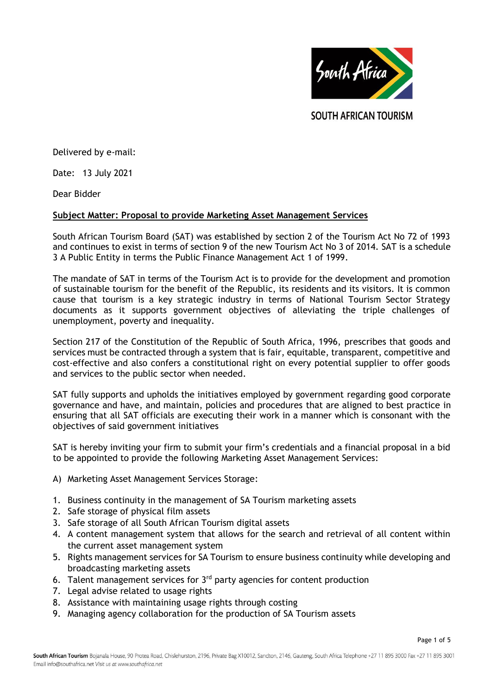

**SOUTH AFRICAN TOURISM** 

Delivered by e-mail:

Date: 13 July 2021

Dear Bidder

## **Subject Matter: Proposal to provide Marketing Asset Management Services**

South African Tourism Board (SAT) was established by section 2 of the Tourism Act No 72 of 1993 and continues to exist in terms of section 9 of the new Tourism Act No 3 of 2014. SAT is a schedule 3 A Public Entity in terms the Public Finance Management Act 1 of 1999.

The mandate of SAT in terms of the Tourism Act is to provide for the development and promotion of sustainable tourism for the benefit of the Republic, its residents and its visitors. It is common cause that tourism is a key strategic industry in terms of National Tourism Sector Strategy documents as it supports government objectives of alleviating the triple challenges of unemployment, poverty and inequality.

Section 217 of the Constitution of the Republic of South Africa, 1996, prescribes that goods and services must be contracted through a system that is fair, equitable, transparent, competitive and cost-effective and also confers a constitutional right on every potential supplier to offer goods and services to the public sector when needed.

SAT fully supports and upholds the initiatives employed by government regarding good corporate governance and have, and maintain, policies and procedures that are aligned to best practice in ensuring that all SAT officials are executing their work in a manner which is consonant with the objectives of said government initiatives

SAT is hereby inviting your firm to submit your firm's credentials and a financial proposal in a bid to be appointed to provide the following Marketing Asset Management Services:

- A) Marketing Asset Management Services Storage:
- 1. Business continuity in the management of SA Tourism marketing assets
- 2. Safe storage of physical film assets
- 3. Safe storage of all South African Tourism digital assets
- 4. A content management system that allows for the search and retrieval of all content within the current asset management system
- 5. Rights management services for SA Tourism to ensure business continuity while developing and broadcasting marketing assets
- 6. Talent management services for  $3<sup>rd</sup>$  party agencies for content production
- 7. Legal advise related to usage rights
- 8. Assistance with maintaining usage rights through costing
- 9. Managing agency collaboration for the production of SA Tourism assets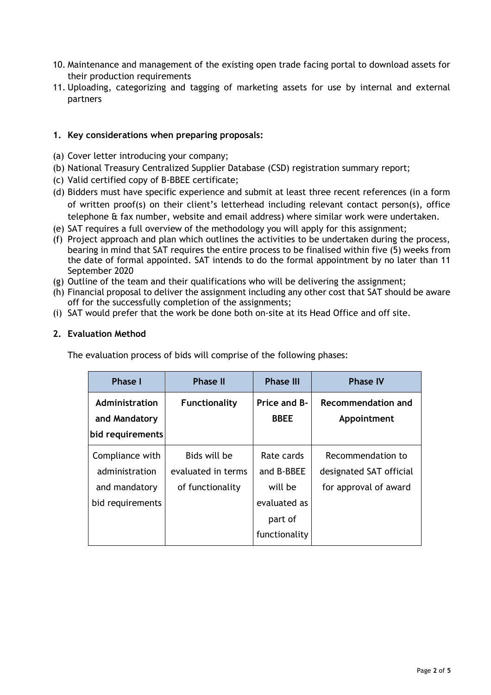- 10. Maintenance and management of the existing open trade facing portal to download assets for their production requirements
- 11. Uploading, categorizing and tagging of marketing assets for use by internal and external partners

## **1. Key considerations when preparing proposals:**

- (a) Cover letter introducing your company;
- (b) National Treasury Centralized Supplier Database (CSD) registration summary report;
- (c) Valid certified copy of B-BBEE certificate;
- (d) Bidders must have specific experience and submit at least three recent references (in a form of written proof(s) on their client's letterhead including relevant contact person(s), office telephone & fax number, website and email address) where similar work were undertaken.
- (e) SAT requires a full overview of the methodology you will apply for this assignment;
- (f) Project approach and plan which outlines the activities to be undertaken during the process, bearing in mind that SAT requires the entire process to be finalised within five (5) weeks from the date of formal appointed. SAT intends to do the formal appointment by no later than 11 September 2020
- (g) Outline of the team and their qualifications who will be delivering the assignment;
- (h) Financial proposal to deliver the assignment including any other cost that SAT should be aware off for the successfully completion of the assignments;
- (i) SAT would prefer that the work be done both on-site at its Head Office and off site.

### **2. Evaluation Method**

The evaluation process of bids will comprise of the following phases:

| <b>Phase I</b>                                                         | <b>Phase II</b>                                        | <b>Phase III</b>                                                                | <b>Phase IV</b>                                                       |
|------------------------------------------------------------------------|--------------------------------------------------------|---------------------------------------------------------------------------------|-----------------------------------------------------------------------|
| Administration<br>and Mandatory<br> bid requirements                   | <b>Functionality</b>                                   | Price and B-<br><b>BBEE</b>                                                     | <b>Recommendation and</b><br>Appointment                              |
| Compliance with<br>administration<br>and mandatory<br>bid requirements | Bids will be<br>evaluated in terms<br>of functionality | Rate cards<br>and B-BBEE<br>will be<br>evaluated as<br>part of<br>functionality | Recommendation to<br>designated SAT official<br>for approval of award |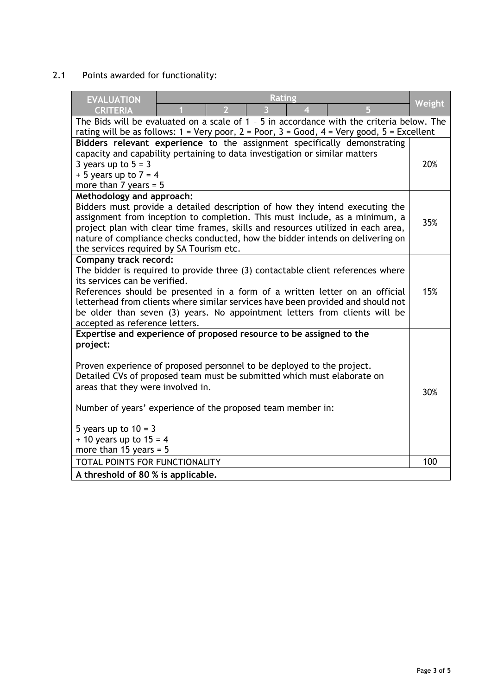# 2.1 Points awarded for functionality:

| <b>Rating</b><br><b>EVALUATION</b><br>5<br><b>CRITERIA</b>                                                                                                                                                                                                                                                                                                                                                                          | <b>Weight</b> |  |  |  |
|-------------------------------------------------------------------------------------------------------------------------------------------------------------------------------------------------------------------------------------------------------------------------------------------------------------------------------------------------------------------------------------------------------------------------------------|---------------|--|--|--|
| The Bids will be evaluated on a scale of 1 - 5 in accordance with the criteria below. The<br>rating will be as follows: $1 = \text{Very poor}, 2 = \text{Poor}, 3 = \text{Good}, 4 = \text{Very good}, 5 = \text{Excellent}$                                                                                                                                                                                                        |               |  |  |  |
| Bidders relevant experience to the assignment specifically demonstrating<br>capacity and capability pertaining to data investigation or similar matters<br>3 years up to $5 = 3$<br>$+5$ years up to $7 = 4$<br>more than $7$ years = $5$                                                                                                                                                                                           |               |  |  |  |
| Methodology and approach:<br>Bidders must provide a detailed description of how they intend executing the<br>assignment from inception to completion. This must include, as a minimum, a<br>project plan with clear time frames, skills and resources utilized in each area,<br>nature of compliance checks conducted, how the bidder intends on delivering on<br>the services required by SA Tourism etc.                          |               |  |  |  |
| <b>Company track record:</b><br>The bidder is required to provide three (3) contactable client references where<br>its services can be verified.<br>References should be presented in a form of a written letter on an official<br>letterhead from clients where similar services have been provided and should not<br>be older than seven (3) years. No appointment letters from clients will be<br>accepted as reference letters. |               |  |  |  |
| Expertise and experience of proposed resource to be assigned to the<br>project:<br>Proven experience of proposed personnel to be deployed to the project.<br>Detailed CVs of proposed team must be submitted which must elaborate on<br>areas that they were involved in.<br>Number of years' experience of the proposed team member in:<br>5 years up to $10 = 3$<br>$+$ 10 years up to 15 = 4<br>more than 15 years = $5$         |               |  |  |  |
| TOTAL POINTS FOR FUNCTIONALITY                                                                                                                                                                                                                                                                                                                                                                                                      | 100           |  |  |  |
| A threshold of 80 % is applicable.                                                                                                                                                                                                                                                                                                                                                                                                  |               |  |  |  |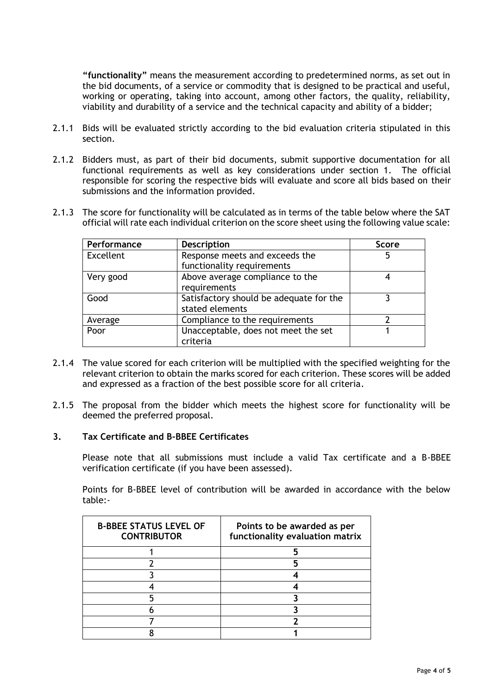**"functionality"** means the measurement according to predetermined norms, as set out in the bid documents, of a service or commodity that is designed to be practical and useful, working or operating, taking into account, among other factors, the quality, reliability, viability and durability of a service and the technical capacity and ability of a bidder;

- 2.1.1 Bids will be evaluated strictly according to the bid evaluation criteria stipulated in this section.
- 2.1.2 Bidders must, as part of their bid documents, submit supportive documentation for all functional requirements as well as key considerations under section 1. The official responsible for scoring the respective bids will evaluate and score all bids based on their submissions and the information provided.
- 2.1.3 The score for functionality will be calculated as in terms of the table below where the SAT official will rate each individual criterion on the score sheet using the following value scale:

| Performance | <b>Description</b>                      | <b>Score</b> |
|-------------|-----------------------------------------|--------------|
| Excellent   | Response meets and exceeds the          |              |
|             | functionality requirements              |              |
| Very good   | Above average compliance to the         |              |
|             | requirements                            |              |
| Good        | Satisfactory should be adequate for the |              |
|             | stated elements                         |              |
| Average     | Compliance to the requirements          |              |
| Poor        | Unacceptable, does not meet the set     |              |
|             | criteria                                |              |

- 2.1.4 The value scored for each criterion will be multiplied with the specified weighting for the relevant criterion to obtain the marks scored for each criterion. These scores will be added and expressed as a fraction of the best possible score for all criteria.
- 2.1.5 The proposal from the bidder which meets the highest score for functionality will be deemed the preferred proposal.

#### **3. Tax Certificate and B-BBEE Certificates**

Please note that all submissions must include a valid Tax certificate and a B-BBEE verification certificate (if you have been assessed).

Points for B-BBEE level of contribution will be awarded in accordance with the below table:-

| <b>B-BBEE STATUS LEVEL OF</b><br><b>CONTRIBUTOR</b> | Points to be awarded as per<br>functionality evaluation matrix |
|-----------------------------------------------------|----------------------------------------------------------------|
|                                                     |                                                                |
|                                                     |                                                                |
|                                                     |                                                                |
|                                                     |                                                                |
|                                                     |                                                                |
|                                                     |                                                                |
|                                                     |                                                                |
|                                                     |                                                                |